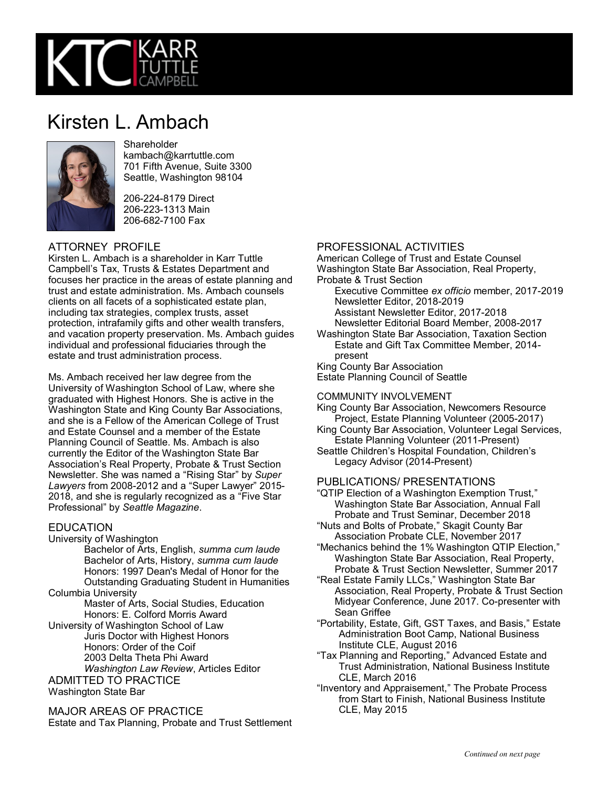

# Kirsten L. Ambach



## **Shareholder**

kambach@karrtuttle.com 701 Fifth Avenue, Suite 3300 Seattle, Washington 98104

206-224-8179 Direct 206-223-1313 Main 206-682-7100 Fax

### ATTORNEY PROFILE

Kirsten L. Ambach is a shareholder in Karr Tuttle Campbell's Tax, Trusts & Estates Department and focuses her practice in the areas of estate planning and trust and estate administration. Ms. Ambach counsels clients on all facets of a sophisticated estate plan, including tax strategies, complex trusts, asset protection, intrafamily gifts and other wealth transfers, and vacation property preservation. Ms. Ambach guides individual and professional fiduciaries through the estate and trust administration process.

Ms. Ambach received her law degree from the University of Washington School of Law, where she graduated with Highest Honors. She is active in the Washington State and King County Bar Associations, and she is a Fellow of the American College of Trust and Estate Counsel and a member of the Estate Planning Council of Seattle. Ms. Ambach is also currently the Editor of the Washington State Bar Association's Real Property, Probate & Trust Section Newsletter. She was named a "Rising Star" by *Super Lawyers* from 2008-2012 and a "Super Lawyer" 2015- 2018, and she is regularly recognized as a "Five Star Professional" by *Seattle Magazine*.

### **EDUCATION**

University of Washington

Bachelor of Arts, English, *summa cum laude* Bachelor of Arts, History, *summa cum laude* Honors: 1997 Dean's Medal of Honor for the Outstanding Graduating Student in Humanities Columbia University

Master of Arts, Social Studies, Education Honors: E. Colford Morris Award

University of Washington School of Law Juris Doctor with Highest Honors Honors: Order of the Coif 2003 Delta Theta Phi Award *Washington Law Review*, Articles Editor ADMITTED TO PRACTICE

Washington State Bar

MAJOR AREAS OF PRACTICE

Estate and Tax Planning, Probate and Trust Settlement

## PROFESSIONAL ACTIVITIES

American College of Trust and Estate Counsel Washington State Bar Association, Real Property, Probate & Trust Section

Executive Committee *ex officio* member, 2017-2019 Newsletter Editor, 2018-2019 Assistant Newsletter Editor, 2017-2018 Newsletter Editorial Board Member, 2008-2017

Washington State Bar Association, Taxation Section Estate and Gift Tax Committee Member, 2014 present

King County Bar Association Estate Planning Council of Seattle

#### COMMUNITY INVOLVEMENT

King County Bar Association, Newcomers Resource Project, Estate Planning Volunteer (2005-2017)

- King County Bar Association, Volunteer Legal Services, Estate Planning Volunteer (2011-Present)
- Seattle Children's Hospital Foundation, Children's Legacy Advisor (2014-Present)

### PUBLICATIONS/ PRESENTATIONS

"QTIP Election of a Washington Exemption Trust," Washington State Bar Association, Annual Fall Probate and Trust Seminar, December 2018

- "Nuts and Bolts of Probate," Skagit County Bar Association Probate CLE, November 2017
- "Mechanics behind the 1% Washington QTIP Election," Washington State Bar Association, Real Property, Probate & Trust Section Newsletter, Summer 2017
- "Real Estate Family LLCs," Washington State Bar Association, Real Property, Probate & Trust Section Midyear Conference, June 2017. Co-presenter with Sean Griffee
- "Portability, Estate, Gift, GST Taxes, and Basis," Estate Administration Boot Camp, National Business Institute CLE, August 2016
- "Tax Planning and Reporting," Advanced Estate and Trust Administration, National Business Institute CLE, March 2016
- "Inventory and Appraisement," The Probate Process from Start to Finish, National Business Institute CLE, May 2015